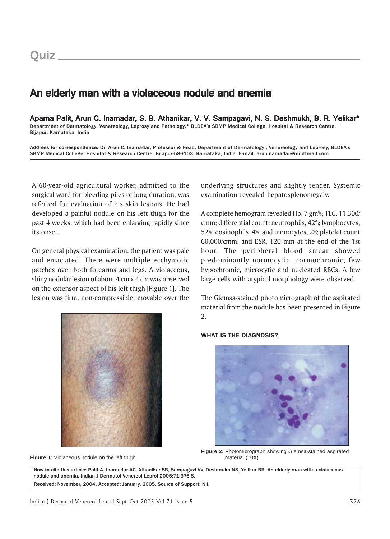## An elderly man with a violaceous nodule and anemia

Aparna Palit, Arun C. Inamadar, S. B. Athanikar, V. V. Sampagavi, N. S. Deshmukh, B. R. Yelikar\* Department of Dermatology, Venereology, Leprosy and Pathology,\* BLDEA's SBMP Medical College, Hospital & Research Centre, Bijapur, Karnataka, India

Address for correspondence: Dr. Arun C. Inamadar, Professor & Head, Department of Dermatology , Venereology and Leprosy, BLDEA's SBMP Medical College, Hospital & Research Centre, Bijapur-586103, Karnataka, India. E-mail: aruninamadar@rediffmail.com

A 60-year-old agricultural worker, admitted to the surgical ward for bleeding piles of long duration, was referred for evaluation of his skin lesions. He had developed a painful nodule on his left thigh for the past 4 weeks, which had been enlarging rapidly since its onset.

On general physical examination, the patient was pale and emaciated. There were multiple ecchymotic patches over both forearms and legs. A violaceous, shiny nodular lesion of about 4 cm x 4 cm was observed on the extensor aspect of his left thigh [Figure 1]. The lesion was firm, non-compressible, movable over the



**Figure 1:** Violaceous nodule on the left thigh material (10X) material (10X)

underlying structures and slightly tender. Systemic examination revealed hepatosplenomegaly.

A complete hemogram revealed Hb, 7 gm%; TLC, 11,300/ cmm; differential count: neutrophils, 42%; lymphocytes, 52%; eosinophils, 4%; and monocytes, 2%; platelet count 60,000/cmm; and ESR, 120 mm at the end of the 1st hour. The peripheral blood smear showed predominantly normocytic, normochromic, few hypochromic, microcytic and nucleated RBCs. A few large cells with atypical morphology were observed.

The Giemsa-stained photomicrograph of the aspirated material from the nodule has been presented in Figure 2.

#### WHAT IS THE DIAGNOSIS?



**Figure 2:** Photomicrograph showing Giemsa-stained aspirated

How to cite this article: Palit A, Inamadar AC, Athanikar SB, Sampagavi VV, Deshmukh NS, Yelikar BR. An elderly man with a violaceous nodule and anemia. Indian J Dermatol Venereol Leprol 2005;71:376-8. Received: November, 2004. Accepted: January, 2005. Source of Support: Nil.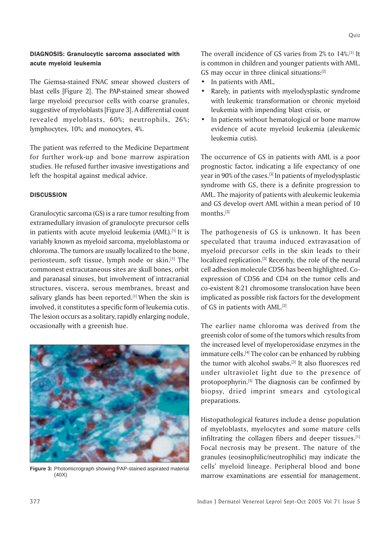## DIAGNOSIS: Granulocytic sarcoma associated with acute myeloid leukemia

The Giemsa-stained FNAC smear showed clusters of blast cells [Figure 2]. The PAP-stained smear showed large myeloid precursor cells with coarse granules, suggestive of myeloblasts [Figure 3]. A differential count revealed myeloblasts, 60%; neutrophils, 26%; lymphocytes, 10%; and monocytes, 4%.

The patient was referred to the Medicine Department for further work-up and bone marrow aspiration studies. He refused further invasive investigations and left the hospital against medical advice.

## **DISCUSSION**

Granulocytic sarcoma (GS) is a rare tumor resulting from extramedullary invasion of granulocyte precursor cells in patients with acute myeloid leukemia (AML).<sup>[1]</sup> It is variably known as myeloid sarcoma, myeloblastoma or chloroma. The tumors are usually localized to the bone, periosteum, soft tissue, lymph node or skin.<sup>[1]</sup> The commonest extracutaneous sites are skull bones, orbit and paranasal sinuses, but involvement of intracranial structures, viscera, serous membranes, breast and salivary glands has been reported.<sup>[1]</sup> When the skin is involved, it constitutes a specific form of leukemia cutis. The lesion occurs as a solitary, rapidly enlarging nodule, occasionally with a greenish hue.



**Figure 3:** Photomicrograph showing PAP-stained aspirated material (40X)

The overall incidence of GS varies from 2% to 14%.[1] It is common in children and younger patients with AML. GS may occur in three clinical situations:<sup>[2]</sup>

- In patients with AML,
- Rarely, in patients with myelodysplastic syndrome with leukemic transformation or chronic myeloid leukemia with impending blast crisis, or
- In patients without hematological or bone marrow evidence of acute myeloid leukemia (aleukemic leukemia cutis).

The occurrence of GS in patients with AML is a poor prognostic factor, indicating a life expectancy of one year in 90% of the cases.<sup>[3]</sup> In patients of myelodysplastic syndrome with GS, there is a definite progression to AML. The majority of patients with aleukemic leukemia and GS develop overt AML within a mean period of 10 months.[3]

The pathogenesis of GS is unknown. It has been speculated that trauma induced extravasation of myeloid precursor cells in the skin leads to their localized replication.<sup>[3]</sup> Recently, the role of the neural cell adhesion molecule CD56 has been highlighted. Coexpression of CD56 and CD4 on the tumor cells and co-existent 8:21 chromosome translocation have been implicated as possible risk factors for the development of GS in patients with AML.[2]

The earlier name chloroma was derived from the greenish color of some of the tumors which results from the increased level of myeloperoxidase enzymes in the immature cells. $[4]$  The color can be enhanced by rubbing the tumor with alcohol swabs.<sup>[3]</sup> It also fluoresces red under ultraviolet light due to the presence of protoporphyrin.[5] The diagnosis can be confirmed by biopsy, dried imprint smears and cytological preparations.

Histopathological features include a dense population of myeloblasts, myelocytes and some mature cells infiltrating the collagen fibers and deeper tissues. $[1]$ Focal necrosis may be present. The nature of the granules (eosinophilic/neutrophilic) may indicate the cells' myeloid lineage. Peripheral blood and bone marrow examinations are essential for management.